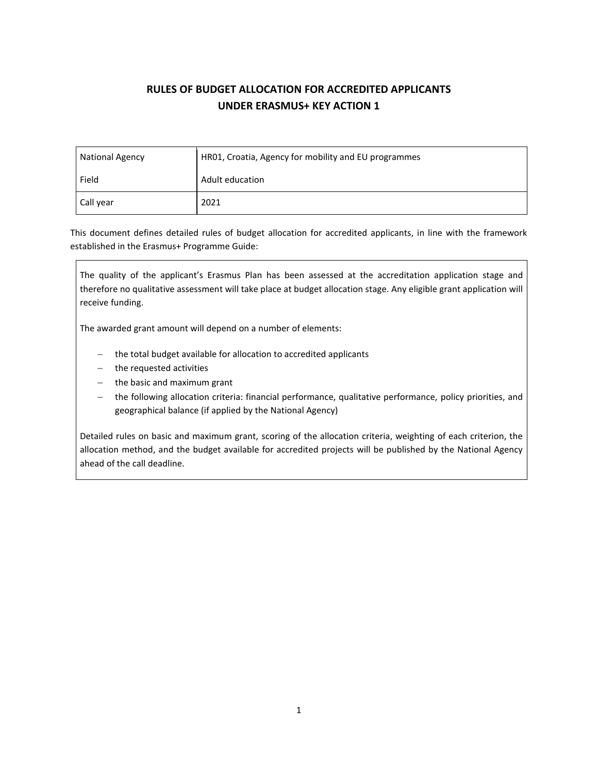# **RULES OF BUDGET ALLOCATION FOR ACCREDITED APPLICANTS UNDER ERASMUS+ KEY ACTION 1**

| <b>National Agency</b> | HR01, Croatia, Agency for mobility and EU programmes |  |  |
|------------------------|------------------------------------------------------|--|--|
| Field                  | Adult education                                      |  |  |
| Call year              | 2021                                                 |  |  |

This document defines detailed rules of budget allocation for accredited applicants, in line with the framework established in the Erasmus+ Programme Guide:

The quality of the applicant's Erasmus Plan has been assessed at the accreditation application stage and therefore no qualitative assessment will take place at budget allocation stage. Any eligible grant application will receive funding.

The awarded grant amount will depend on a number of elements:

- − the total budget available for allocation to accredited applicants
- − the requested activities
- − the basic and maximum grant
- the following allocation criteria: financial performance, qualitative performance, policy priorities, and geographical balance (if applied by the National Agency)

Detailed rules on basic and maximum grant, scoring of the allocation criteria, weighting of each criterion, the allocation method, and the budget available for accredited projects will be published by the National Agency ahead of the call deadline.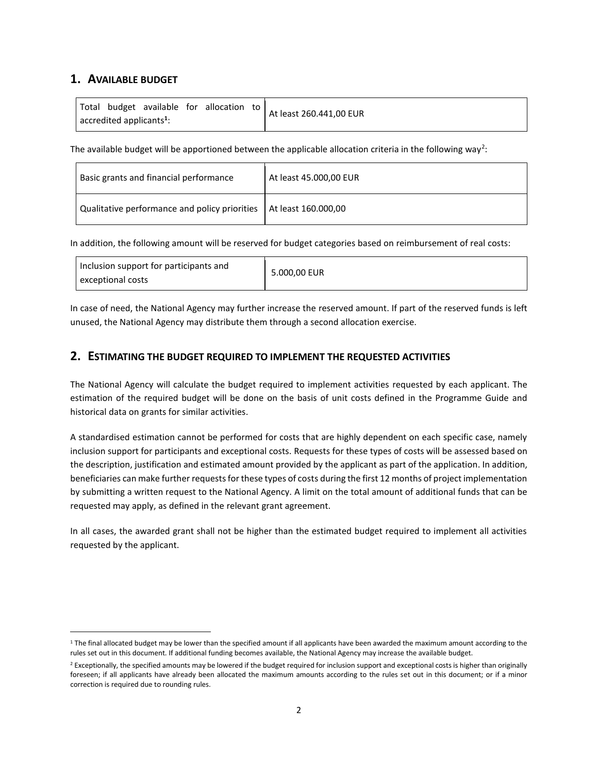# **1. AVAILABLE BUDGET**

| Total budget available for allocation to        |  |  |  | At least 260.441,00 EUR |
|-------------------------------------------------|--|--|--|-------------------------|
| $\sqrt{ }$ accredited applicants <sup>1</sup> : |  |  |  |                         |

The available budget will be apportioned between the applicable allocation criteria in the following way<sup>2</sup>:

| Basic grants and financial performance                              | At least 45.000,00 EUR |
|---------------------------------------------------------------------|------------------------|
| Qualitative performance and policy priorities   At least 160.000,00 |                        |

In addition, the following amount will be reserved for budget categories based on reimbursement of real costs:

In case of need, the National Agency may further increase the reserved amount. If part of the reserved funds is left unused, the National Agency may distribute them through a second allocation exercise.

# **2. ESTIMATING THE BUDGET REQUIRED TO IMPLEMENT THE REQUESTED ACTIVITIES**

The National Agency will calculate the budget required to implement activities requested by each applicant. The estimation of the required budget will be done on the basis of unit costs defined in the Programme Guide and historical data on grants for similar activities.

A standardised estimation cannot be performed for costs that are highly dependent on each specific case, namely inclusion support for participants and exceptional costs. Requests for these types of costs will be assessed based on the description, justification and estimated amount provided by the applicant as part of the application. In addition, beneficiaries can make further requests for these types of costs during the first 12 months of project implementation by submitting a written request to the National Agency. A limit on the total amount of additional funds that can be requested may apply, as defined in the relevant grant agreement.

In all cases, the awarded grant shall not be higher than the estimated budget required to implement all activities requested by the applicant.

 $1$  The final allocated budget may be lower than the specified amount if all applicants have been awarded the maximum amount according to the rules set out in this document. If additional funding becomes available, the National Agency may increase the available budget.

<sup>&</sup>lt;sup>2</sup> Exceptionally, the specified amounts may be lowered if the budget required for inclusion support and exceptional costs is higher than originally foreseen; if all applicants have already been allocated the maximum amounts according to the rules set out in this document; or if a minor correction is required due to rounding rules.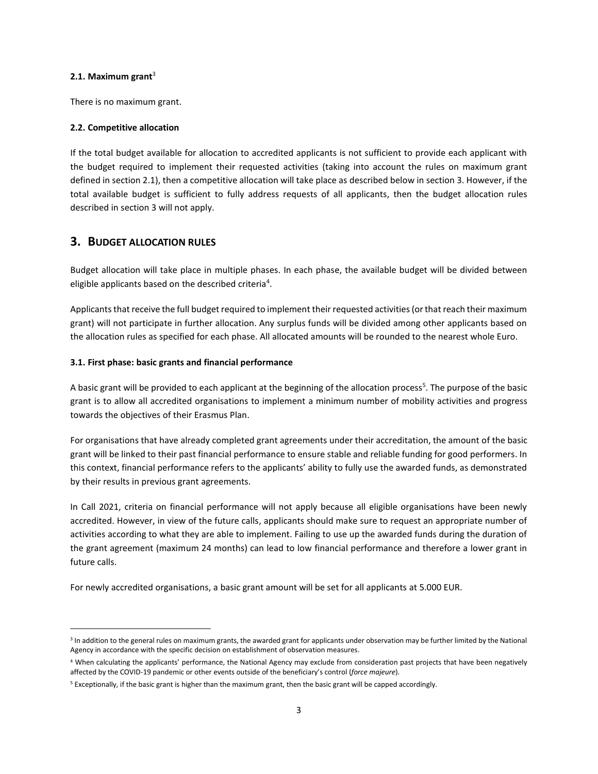#### **2.1. Maximum grant**<sup>3</sup>

There is no maximum grant.

#### **2.2. Competitive allocation**

If the total budget available for allocation to accredited applicants is not sufficient to provide each applicant with the budget required to implement their requested activities (taking into account the rules on maximum grant defined in section 2.1), then a competitive allocation will take place as described below in section 3. However, if the total available budget is sufficient to fully address requests of all applicants, then the budget allocation rules described in section 3 will not apply.

### **3. BUDGET ALLOCATION RULES**

Budget allocation will take place in multiple phases. In each phase, the available budget will be divided between eligible applicants based on the described criteria<sup>4</sup>.

Applicants that receive the full budget required to implement their requested activities (or that reach their maximum grant) will not participate in further allocation. Any surplus funds will be divided among other applicants based on the allocation rules as specified for each phase. All allocated amounts will be rounded to the nearest whole Euro.

#### **3.1. First phase: basic grants and financial performance**

A basic grant will be provided to each applicant at the beginning of the allocation process<sup>5</sup>. The purpose of the basic grant is to allow all accredited organisations to implement a minimum number of mobility activities and progress towards the objectives of their Erasmus Plan.

For organisations that have already completed grant agreements under their accreditation, the amount of the basic grant will be linked to their past financial performance to ensure stable and reliable funding for good performers. In this context, financial performance refers to the applicants' ability to fully use the awarded funds, as demonstrated by their results in previous grant agreements.

In Call 2021, criteria on financial performance will not apply because all eligible organisations have been newly accredited. However, in view of the future calls, applicants should make sure to request an appropriate number of activities according to what they are able to implement. Failing to use up the awarded funds during the duration of the grant agreement (maximum 24 months) can lead to low financial performance and therefore a lower grant in future calls.

For newly accredited organisations, a basic grant amount will be set for all applicants at 5.000 EUR.

<sup>&</sup>lt;sup>3</sup> In addition to the general rules on maximum grants, the awarded grant for applicants under observation may be further limited by the National Agency in accordance with the specific decision on establishment of observation measures.

<sup>&</sup>lt;sup>4</sup> When calculating the applicants' performance, the National Agency may exclude from consideration past projects that have been negatively affected by the COVID-19 pandemic or other events outside of the beneficiary's control (*force majeure*).

<sup>5</sup> Exceptionally, if the basic grant is higher than the maximum grant, then the basic grant will be capped accordingly.